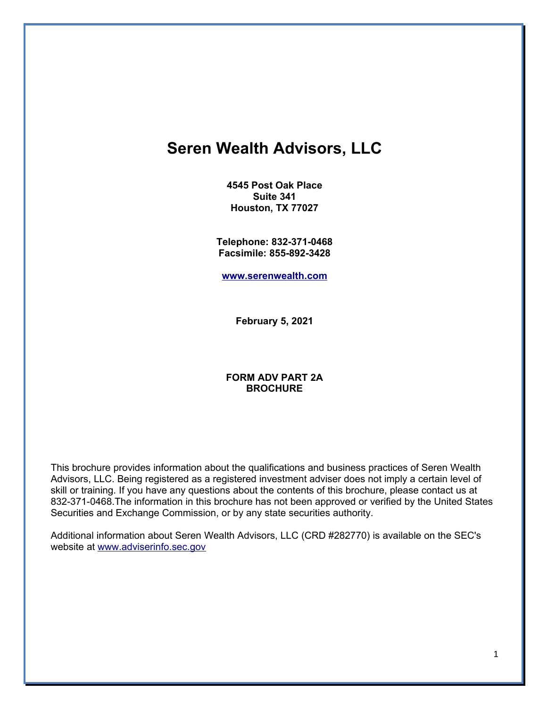# **Seren Wealth Advisors, LLC**

**4545 Post Oak Place Suite 341 Houston, TX 77027**

**Telephone: 832-371-0468 Facsimile: 855-892-3428**

**[www.serenwealth.com](mailto:sblakes@serenwealth.com)**

**February 5, 2021**

### **FORM ADV PART 2A BROCHURE**

This brochure provides information about the qualifications and business practices of Seren Wealth Advisors, LLC. Being registered as a registered investment adviser does not imply a certain level of skill or training. If you have any questions about the contents of this brochure, please contact us at 832-371-0468.The information in this brochure has not been approved or verified by the United States Securities and Exchange Commission, or by any state securities authority.

Additional information about Seren Wealth Advisors, LLC (CRD #282770) is available on the SEC's website at [www.adviserinfo.sec.gov](http://www.adviserinfo.sec.gov/)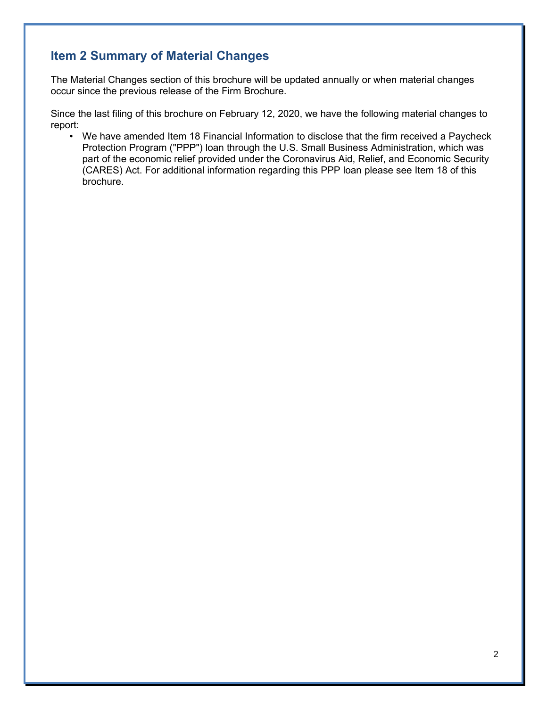## **Item 2 Summary of Material Changes**

The Material Changes section of this brochure will be updated annually or when material changes occur since the previous release of the Firm Brochure.

Since the last filing of this brochure on February 12, 2020, we have the following material changes to report:

• We have amended Item 18 Financial Information to disclose that the firm received a Paycheck Protection Program ("PPP") loan through the U.S. Small Business Administration, which was part of the economic relief provided under the Coronavirus Aid, Relief, and Economic Security (CARES) Act. For additional information regarding this PPP loan please see Item 18 of this brochure.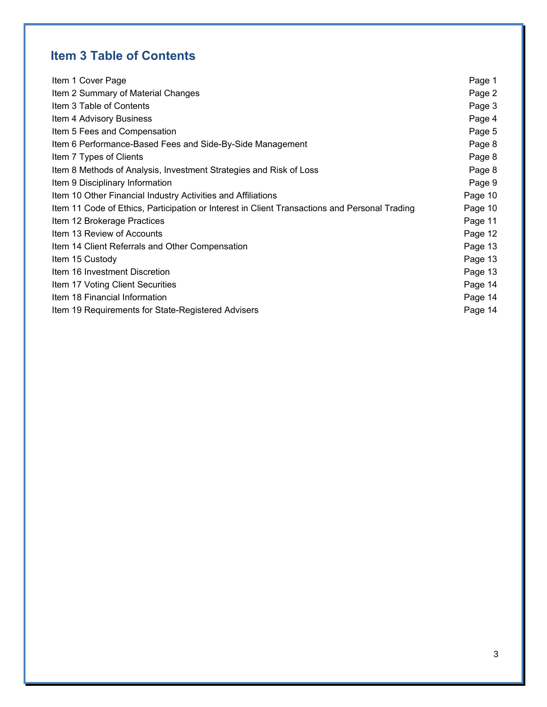# **Item 3 Table of Contents**

| Item 1 Cover Page                                                                             | Page 1  |
|-----------------------------------------------------------------------------------------------|---------|
| Item 2 Summary of Material Changes                                                            | Page 2  |
| Item 3 Table of Contents                                                                      | Page 3  |
| Item 4 Advisory Business                                                                      | Page 4  |
| Item 5 Fees and Compensation                                                                  | Page 5  |
| Item 6 Performance-Based Fees and Side-By-Side Management                                     | Page 8  |
| Item 7 Types of Clients                                                                       | Page 8  |
| Item 8 Methods of Analysis, Investment Strategies and Risk of Loss                            | Page 8  |
| Item 9 Disciplinary Information                                                               | Page 9  |
| Item 10 Other Financial Industry Activities and Affiliations                                  | Page 10 |
| Item 11 Code of Ethics, Participation or Interest in Client Transactions and Personal Trading | Page 10 |
| Item 12 Brokerage Practices                                                                   | Page 11 |
| Item 13 Review of Accounts                                                                    | Page 12 |
| Item 14 Client Referrals and Other Compensation                                               | Page 13 |
| Item 15 Custody                                                                               | Page 13 |
| Item 16 Investment Discretion                                                                 | Page 13 |
| Item 17 Voting Client Securities                                                              | Page 14 |
| Item 18 Financial Information                                                                 | Page 14 |
| Item 19 Requirements for State-Registered Advisers                                            | Page 14 |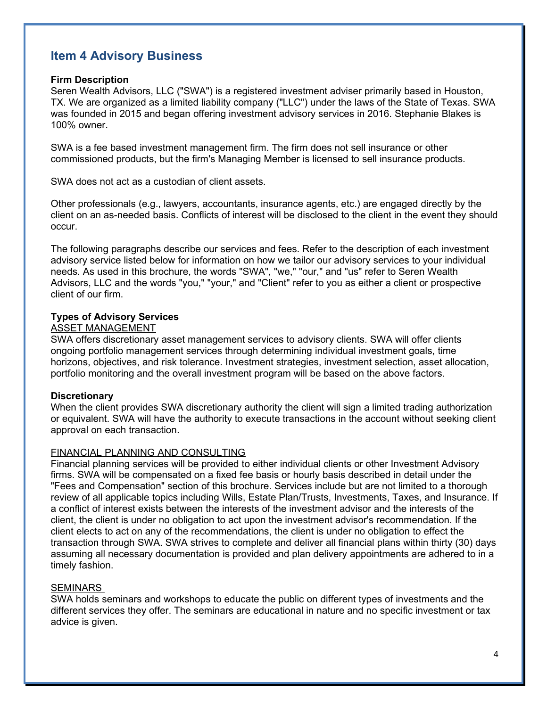## **Item 4 Advisory Business**

### **Firm Description**

Seren Wealth Advisors, LLC ("SWA") is a registered investment adviser primarily based in Houston, TX. We are organized as a limited liability company ("LLC") under the laws of the State of Texas. SWA was founded in 2015 and began offering investment advisory services in 2016. Stephanie Blakes is 100% owner.

SWA is a fee based investment management firm. The firm does not sell insurance or other commissioned products, but the firm's Managing Member is licensed to sell insurance products.

SWA does not act as a custodian of client assets.

Other professionals (e.g., lawyers, accountants, insurance agents, etc.) are engaged directly by the client on an as-needed basis. Conflicts of interest will be disclosed to the client in the event they should occur.

The following paragraphs describe our services and fees. Refer to the description of each investment advisory service listed below for information on how we tailor our advisory services to your individual needs. As used in this brochure, the words "SWA", "we," "our," and "us" refer to Seren Wealth Advisors, LLC and the words "you," "your," and "Client" refer to you as either a client or prospective client of our firm.

### **Types of Advisory Services**

### ASSET MANAGEMENT

SWA offers discretionary asset management services to advisory clients. SWA will offer clients ongoing portfolio management services through determining individual investment goals, time horizons, objectives, and risk tolerance. Investment strategies, investment selection, asset allocation, portfolio monitoring and the overall investment program will be based on the above factors.

### **Discretionary**

When the client provides SWA discretionary authority the client will sign a limited trading authorization or equivalent. SWA will have the authority to execute transactions in the account without seeking client approval on each transaction.

### FINANCIAL PLANNING AND CONSULTING

Financial planning services will be provided to either individual clients or other Investment Advisory firms. SWA will be compensated on a fixed fee basis or hourly basis described in detail under the "Fees and Compensation" section of this brochure. Services include but are not limited to a thorough review of all applicable topics including Wills, Estate Plan/Trusts, Investments, Taxes, and Insurance. If a conflict of interest exists between the interests of the investment advisor and the interests of the client, the client is under no obligation to act upon the investment advisor's recommendation. If the client elects to act on any of the recommendations, the client is under no obligation to effect the transaction through SWA. SWA strives to complete and deliver all financial plans within thirty (30) days assuming all necessary documentation is provided and plan delivery appointments are adhered to in a timely fashion.

### SEMINARS

SWA holds seminars and workshops to educate the public on different types of investments and the different services they offer. The seminars are educational in nature and no specific investment or tax advice is given.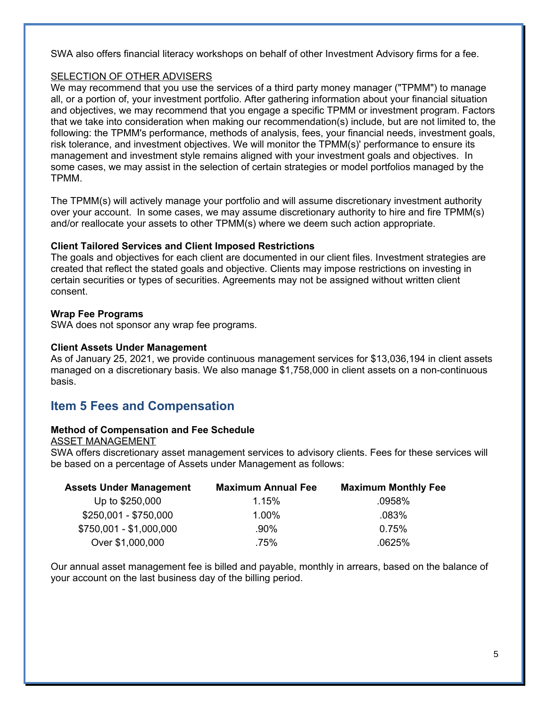SWA also offers financial literacy workshops on behalf of other Investment Advisory firms for a fee.

### SELECTION OF OTHER ADVISERS

We may recommend that you use the services of a third party money manager ("TPMM") to manage all, or a portion of, your investment portfolio. After gathering information about your financial situation and objectives, we may recommend that you engage a specific TPMM or investment program. Factors that we take into consideration when making our recommendation(s) include, but are not limited to, the following: the TPMM's performance, methods of analysis, fees, your financial needs, investment goals, risk tolerance, and investment objectives. We will monitor the TPMM(s)' performance to ensure its management and investment style remains aligned with your investment goals and objectives. In some cases, we may assist in the selection of certain strategies or model portfolios managed by the TPMM.

The TPMM(s) will actively manage your portfolio and will assume discretionary investment authority over your account. In some cases, we may assume discretionary authority to hire and fire TPMM(s) and/or reallocate your assets to other TPMM(s) where we deem such action appropriate.

### **Client Tailored Services and Client Imposed Restrictions**

The goals and objectives for each client are documented in our client files. Investment strategies are created that reflect the stated goals and objective. Clients may impose restrictions on investing in certain securities or types of securities. Agreements may not be assigned without written client consent.

### **Wrap Fee Programs**

SWA does not sponsor any wrap fee programs.

### **Client Assets Under Management**

As of January 25, 2021, we provide continuous management services for \$13,036,194 in client assets managed on a discretionary basis. We also manage \$1,758,000 in client assets on a non-continuous basis.

## **Item 5 Fees and Compensation**

### **Method of Compensation and Fee Schedule**

ASSET MANAGEMENT

SWA offers discretionary asset management services to advisory clients. Fees for these services will be based on a percentage of Assets under Management as follows:

| <b>Assets Under Management</b> | <b>Maximum Annual Fee</b> | <b>Maximum Monthly Fee</b> |
|--------------------------------|---------------------------|----------------------------|
| Up to \$250,000                | 1.15%                     | .0958%                     |
| \$250,001 - \$750,000          | 1.00%                     | .083%                      |
| \$750,001 - \$1,000,000        | .90%                      | 0.75%                      |
| Over \$1,000,000               | .75%                      | .0625%                     |

Our annual asset management fee is billed and payable, monthly in arrears, based on the balance of your account on the last business day of the billing period.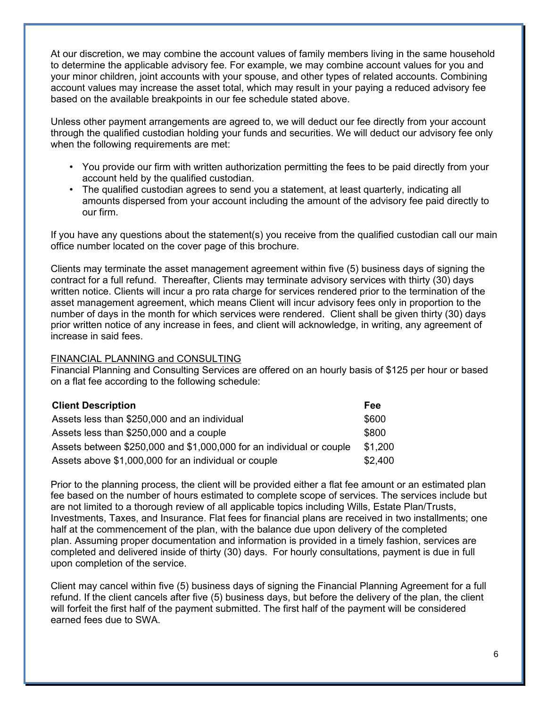At our discretion, we may combine the account values of family members living in the same household to determine the applicable advisory fee. For example, we may combine account values for you and your minor children, joint accounts with your spouse, and other types of related accounts. Combining account values may increase the asset total, which may result in your paying a reduced advisory fee based on the available breakpoints in our fee schedule stated above.

Unless other payment arrangements are agreed to, we will deduct our fee directly from your account through the qualified custodian holding your funds and securities. We will deduct our advisory fee only when the following requirements are met:

- You provide our firm with written authorization permitting the fees to be paid directly from your account held by the qualified custodian.
- The qualified custodian agrees to send you a statement, at least quarterly, indicating all amounts dispersed from your account including the amount of the advisory fee paid directly to our firm.

If you have any questions about the statement(s) you receive from the qualified custodian call our main office number located on the cover page of this brochure.

Clients may terminate the asset management agreement within five (5) business days of signing the contract for a full refund. Thereafter, Clients may terminate advisory services with thirty (30) days written notice. Clients will incur a pro rata charge for services rendered prior to the termination of the asset management agreement, which means Client will incur advisory fees only in proportion to the number of days in the month for which services were rendered. Client shall be given thirty (30) days prior written notice of any increase in fees, and client will acknowledge, in writing, any agreement of increase in said fees.

### FINANCIAL PLANNING and CONSULTING

Financial Planning and Consulting Services are offered on an hourly basis of \$125 per hour or based on a flat fee according to the following schedule:

| <b>Client Description</b>                                            | Fee     |
|----------------------------------------------------------------------|---------|
| Assets less than \$250,000 and an individual                         | \$600   |
| Assets less than \$250,000 and a couple                              | \$800   |
| Assets between \$250,000 and \$1,000,000 for an individual or couple | \$1,200 |
| Assets above \$1,000,000 for an individual or couple                 | \$2,400 |

Prior to the planning process, the client will be provided either a flat fee amount or an estimated plan fee based on the number of hours estimated to complete scope of services. The services include but are not limited to a thorough review of all applicable topics including Wills, Estate Plan/Trusts, Investments, Taxes, and Insurance. Flat fees for financial plans are received in two installments; one half at the commencement of the plan, with the balance due upon delivery of the completed plan. Assuming proper documentation and information is provided in a timely fashion, services are completed and delivered inside of thirty (30) days. For hourly consultations, payment is due in full upon completion of the service.

Client may cancel within five (5) business days of signing the Financial Planning Agreement for a full refund. If the client cancels after five (5) business days, but before the delivery of the plan, the client will forfeit the first half of the payment submitted. The first half of the payment will be considered earned fees due to SWA.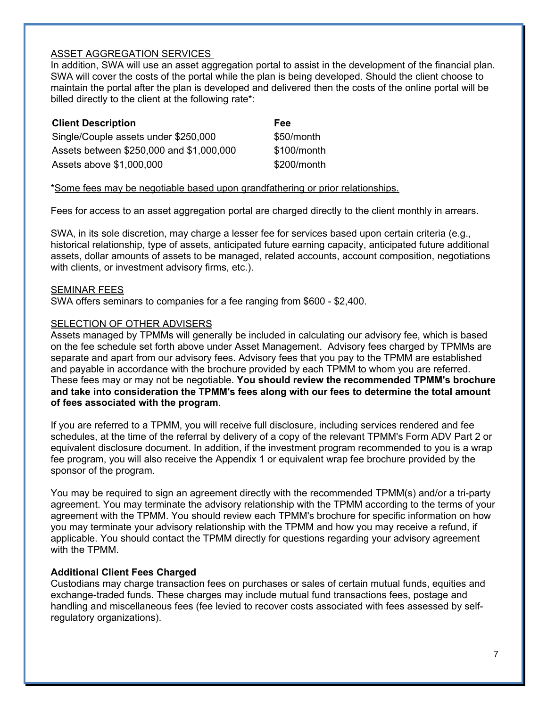### ASSET AGGREGATION SERVICES

In addition, SWA will use an asset aggregation portal to assist in the development of the financial plan. SWA will cover the costs of the portal while the plan is being developed. Should the client choose to maintain the portal after the plan is developed and delivered then the costs of the online portal will be billed directly to the client at the following rate\*:

| <b>Client Description</b>                | Fee         |
|------------------------------------------|-------------|
| Single/Couple assets under \$250,000     | \$50/month  |
| Assets between \$250,000 and \$1,000,000 | \$100/month |
| Assets above \$1,000,000                 | \$200/month |

\*Some fees may be negotiable based upon grandfathering or prior relationships.

Fees for access to an asset aggregation portal are charged directly to the client monthly in arrears.

SWA, in its sole discretion, may charge a lesser fee for services based upon certain criteria (e.g., historical relationship, type of assets, anticipated future earning capacity, anticipated future additional assets, dollar amounts of assets to be managed, related accounts, account composition, negotiations with clients, or investment advisory firms, etc.).

### SEMINAR FEES

SWA offers seminars to companies for a fee ranging from \$600 - \$2,400.

### SELECTION OF OTHER ADVISERS

Assets managed by TPMMs will generally be included in calculating our advisory fee, which is based on the fee schedule set forth above under Asset Management. Advisory fees charged by TPMMs are separate and apart from our advisory fees. Advisory fees that you pay to the TPMM are established and payable in accordance with the brochure provided by each TPMM to whom you are referred. These fees may or may not be negotiable. **You should review the recommended TPMM's brochure and take into consideration the TPMM's fees along with our fees to determine the total amount of fees associated with the program**.

If you are referred to a TPMM, you will receive full disclosure, including services rendered and fee schedules, at the time of the referral by delivery of a copy of the relevant TPMM's Form ADV Part 2 or equivalent disclosure document. In addition, if the investment program recommended to you is a wrap fee program, you will also receive the Appendix 1 or equivalent wrap fee brochure provided by the sponsor of the program.

You may be required to sign an agreement directly with the recommended TPMM(s) and/or a tri-party agreement. You may terminate the advisory relationship with the TPMM according to the terms of your agreement with the TPMM. You should review each TPMM's brochure for specific information on how you may terminate your advisory relationship with the TPMM and how you may receive a refund, if applicable. You should contact the TPMM directly for questions regarding your advisory agreement with the TPMM.

### **Additional Client Fees Charged**

Custodians may charge transaction fees on purchases or sales of certain mutual funds, equities and exchange-traded funds. These charges may include mutual fund transactions fees, postage and handling and miscellaneous fees (fee levied to recover costs associated with fees assessed by selfregulatory organizations).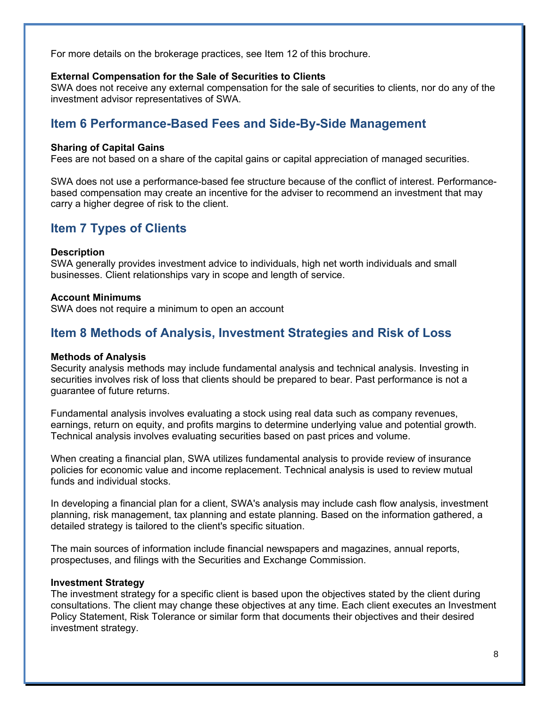For more details on the brokerage practices, see Item 12 of this brochure.

### **External Compensation for the Sale of Securities to Clients**

SWA does not receive any external compensation for the sale of securities to clients, nor do any of the investment advisor representatives of SWA.

## **Item 6 Performance-Based Fees and Side-By-Side Management**

### **Sharing of Capital Gains**

Fees are not based on a share of the capital gains or capital appreciation of managed securities.

SWA does not use a performance-based fee structure because of the conflict of interest. Performancebased compensation may create an incentive for the adviser to recommend an investment that may carry a higher degree of risk to the client.

### **Item 7 Types of Clients**

### **Description**

SWA generally provides investment advice to individuals, high net worth individuals and small businesses. Client relationships vary in scope and length of service.

### **Account Minimums**

SWA does not require a minimum to open an account

### **Item 8 Methods of Analysis, Investment Strategies and Risk of Loss**

#### **Methods of Analysis**

Security analysis methods may include fundamental analysis and technical analysis. Investing in securities involves risk of loss that clients should be prepared to bear. Past performance is not a guarantee of future returns.

Fundamental analysis involves evaluating a stock using real data such as company revenues, earnings, return on equity, and profits margins to determine underlying value and potential growth. Technical analysis involves evaluating securities based on past prices and volume.

When creating a financial plan, SWA utilizes fundamental analysis to provide review of insurance policies for economic value and income replacement. Technical analysis is used to review mutual funds and individual stocks.

In developing a financial plan for a client, SWA's analysis may include cash flow analysis, investment planning, risk management, tax planning and estate planning. Based on the information gathered, a detailed strategy is tailored to the client's specific situation.

The main sources of information include financial newspapers and magazines, annual reports, prospectuses, and filings with the Securities and Exchange Commission.

#### **Investment Strategy**

The investment strategy for a specific client is based upon the objectives stated by the client during consultations. The client may change these objectives at any time. Each client executes an Investment Policy Statement, Risk Tolerance or similar form that documents their objectives and their desired investment strategy.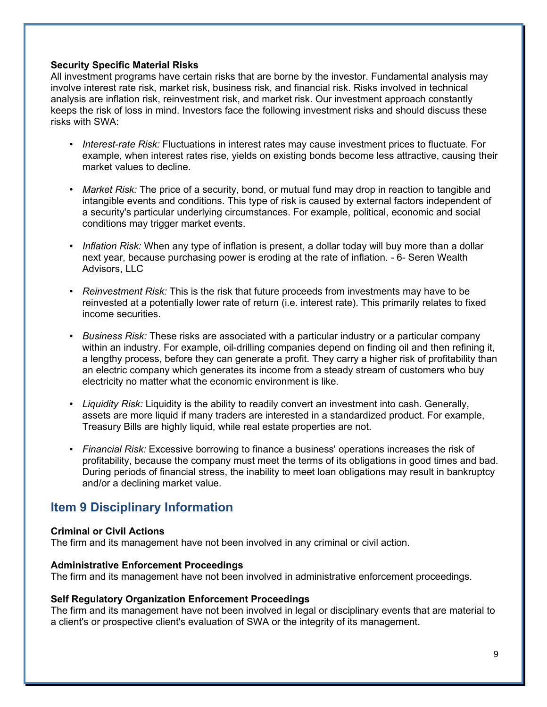### **Security Specific Material Risks**

All investment programs have certain risks that are borne by the investor. Fundamental analysis may involve interest rate risk, market risk, business risk, and financial risk. Risks involved in technical analysis are inflation risk, reinvestment risk, and market risk. Our investment approach constantly keeps the risk of loss in mind. Investors face the following investment risks and should discuss these risks with SWA:

- *Interest-rate Risk:* Fluctuations in interest rates may cause investment prices to fluctuate. For example, when interest rates rise, yields on existing bonds become less attractive, causing their market values to decline.
- *Market Risk:* The price of a security, bond, or mutual fund may drop in reaction to tangible and intangible events and conditions. This type of risk is caused by external factors independent of a security's particular underlying circumstances. For example, political, economic and social conditions may trigger market events.
- *Inflation Risk:* When any type of inflation is present, a dollar today will buy more than a dollar next year, because purchasing power is eroding at the rate of inflation. - 6- Seren Wealth Advisors, LLC
- *Reinvestment Risk:* This is the risk that future proceeds from investments may have to be reinvested at a potentially lower rate of return (i.e. interest rate). This primarily relates to fixed income securities.
- *Business Risk:* These risks are associated with a particular industry or a particular company within an industry. For example, oil-drilling companies depend on finding oil and then refining it, a lengthy process, before they can generate a profit. They carry a higher risk of profitability than an electric company which generates its income from a steady stream of customers who buy electricity no matter what the economic environment is like.
- *Liquidity Risk:* Liquidity is the ability to readily convert an investment into cash. Generally, assets are more liquid if many traders are interested in a standardized product. For example, Treasury Bills are highly liquid, while real estate properties are not.
- *Financial Risk:* Excessive borrowing to finance a business' operations increases the risk of profitability, because the company must meet the terms of its obligations in good times and bad. During periods of financial stress, the inability to meet loan obligations may result in bankruptcy and/or a declining market value.

## **Item 9 Disciplinary Information**

### **Criminal or Civil Actions**

The firm and its management have not been involved in any criminal or civil action.

### **Administrative Enforcement Proceedings**

The firm and its management have not been involved in administrative enforcement proceedings.

### **Self Regulatory Organization Enforcement Proceedings**

The firm and its management have not been involved in legal or disciplinary events that are material to a client's or prospective client's evaluation of SWA or the integrity of its management.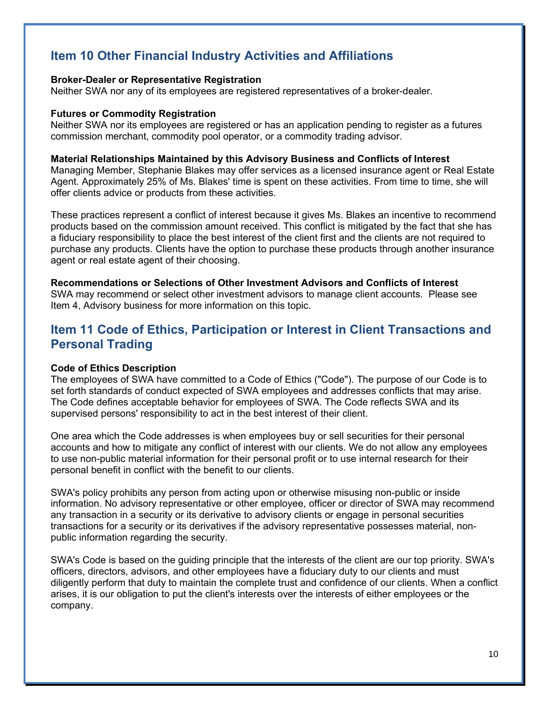## **Item 10 Other Financial Industry Activities and Affiliations**

### **Broker-Dealer or Representative Registration**

Neither SWA nor any of its employees are registered representatives of a broker-dealer.

### **Futures or Commodity Registration**

Neither SWA nor its employees are registered or has an application pending to register as a futures commission merchant, commodity pool operator, or a commodity trading advisor.

### **Material Relationships Maintained by this Advisory Business and Conflicts of Interest**

Managing Member, Stephanie Blakes may offer services as a licensed insurance agent or Real Estate Agent. Approximately 25% of Ms. Blakes' time is spent on these activities. From time to time, she will offer clients advice or products from these activities.

These practices represent a conflict of interest because it gives Ms. Blakes an incentive to recommend products based on the commission amount received. This conflict is mitigated by the fact that she has a fiduciary responsibility to place the best interest of the client first and the clients are not required to purchase any products. Clients have the option to purchase these products through another insurance agent or real estate agent of their choosing.

**Recommendations or Selections of Other Investment Advisors and Conflicts of Interest**  SWA may recommend or select other investment advisors to manage client accounts. Please see Item 4, Advisory business for more information on this topic.

## **Item 11 Code of Ethics, Participation or Interest in Client Transactions and Personal Trading**

### **Code of Ethics Description**

The employees of SWA have committed to a Code of Ethics ("Code"). The purpose of our Code is to set forth standards of conduct expected of SWA employees and addresses conflicts that may arise. The Code defines acceptable behavior for employees of SWA. The Code reflects SWA and its supervised persons' responsibility to act in the best interest of their client.

One area which the Code addresses is when employees buy or sell securities for their personal accounts and how to mitigate any conflict of interest with our clients. We do not allow any employees to use non-public material information for their personal profit or to use internal research for their personal benefit in conflict with the benefit to our clients.

SWA's policy prohibits any person from acting upon or otherwise misusing non-public or inside information. No advisory representative or other employee, officer or director of SWA may recommend any transaction in a security or its derivative to advisory clients or engage in personal securities transactions for a security or its derivatives if the advisory representative possesses material, nonpublic information regarding the security.

SWA's Code is based on the guiding principle that the interests of the client are our top priority. SWA's officers, directors, advisors, and other employees have a fiduciary duty to our clients and must diligently perform that duty to maintain the complete trust and confidence of our clients. When a conflict arises, it is our obligation to put the client's interests over the interests of either employees or the company.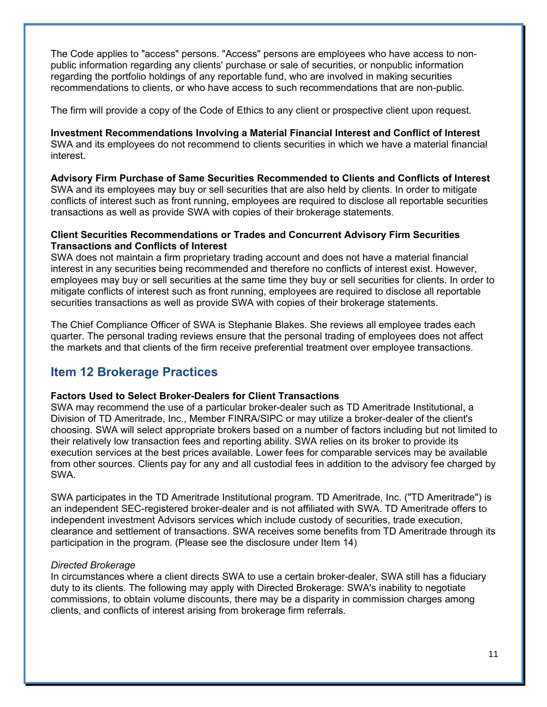The Code applies to "access" persons. "Access" persons are employees who have access to nonpublic information regarding any clients' purchase or sale of securities, or nonpublic information regarding the portfolio holdings of any reportable fund, who are involved in making securities recommendations to clients, or who have access to such recommendations that are non-public.

The firm will provide a copy of the Code of Ethics to any client or prospective client upon request.

**Investment Recommendations Involving a Material Financial Interest and Conflict of Interest**  SWA and its employees do not recommend to clients securities in which we have a material financial interest.

**Advisory Firm Purchase of Same Securities Recommended to Clients and Conflicts of Interest**  SWA and its employees may buy or sell securities that are also held by clients. In order to mitigate conflicts of interest such as front running, employees are required to disclose all reportable securities transactions as well as provide SWA with copies of their brokerage statements.

### **Client Securities Recommendations or Trades and Concurrent Advisory Firm Securities Transactions and Conflicts of Interest**

SWA does not maintain a firm proprietary trading account and does not have a material financial interest in any securities being recommended and therefore no conflicts of interest exist. However, employees may buy or sell securities at the same time they buy or sell securities for clients. In order to mitigate conflicts of interest such as front running, employees are required to disclose all reportable securities transactions as well as provide SWA with copies of their brokerage statements.

The Chief Compliance Officer of SWA is Stephanie Blakes. She reviews all employee trades each quarter. The personal trading reviews ensure that the personal trading of employees does not affect the markets and that clients of the firm receive preferential treatment over employee transactions.

## **Item 12 Brokerage Practices**

### **Factors Used to Select Broker-Dealers for Client Transactions**

SWA may recommend the use of a particular broker-dealer such as TD Ameritrade Institutional, a Division of TD Ameritrade, Inc., Member FINRA/SIPC or may utilize a broker-dealer of the client's choosing. SWA will select appropriate brokers based on a number of factors including but not limited to their relatively low transaction fees and reporting ability. SWA relies on its broker to provide its execution services at the best prices available. Lower fees for comparable services may be available from other sources. Clients pay for any and all custodial fees in addition to the advisory fee charged by SWA.

SWA participates in the TD Ameritrade Institutional program. TD Ameritrade, Inc. ("TD Ameritrade") is an independent SEC-registered broker-dealer and is not affiliated with SWA. TD Ameritrade offers to independent investment Advisors services which include custody of securities, trade execution, clearance and settlement of transactions. SWA receives some benefits from TD Ameritrade through its participation in the program. (Please see the disclosure under Item 14)

### *Directed Brokerage*

In circumstances where a client directs SWA to use a certain broker-dealer, SWA still has a fiduciary duty to its clients. The following may apply with Directed Brokerage: SWA's inability to negotiate commissions, to obtain volume discounts, there may be a disparity in commission charges among clients, and conflicts of interest arising from brokerage firm referrals.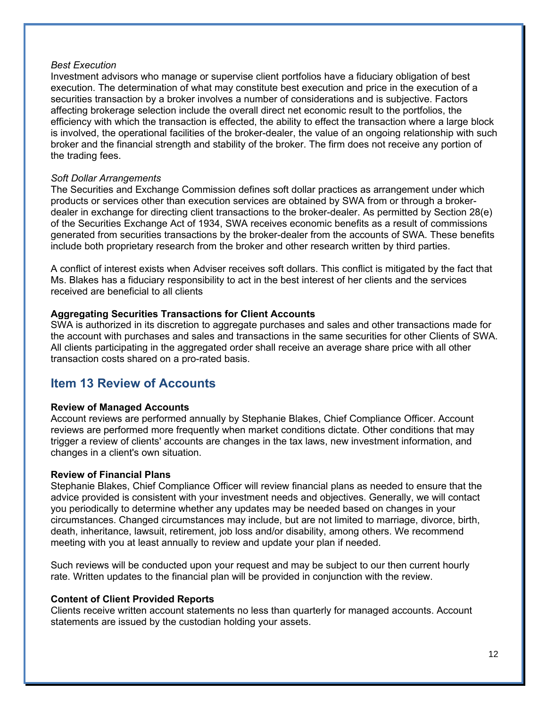### *Best Execution*

Investment advisors who manage or supervise client portfolios have a fiduciary obligation of best execution. The determination of what may constitute best execution and price in the execution of a securities transaction by a broker involves a number of considerations and is subjective. Factors affecting brokerage selection include the overall direct net economic result to the portfolios, the efficiency with which the transaction is effected, the ability to effect the transaction where a large block is involved, the operational facilities of the broker-dealer, the value of an ongoing relationship with such broker and the financial strength and stability of the broker. The firm does not receive any portion of the trading fees.

### *Soft Dollar Arrangements*

The Securities and Exchange Commission defines soft dollar practices as arrangement under which products or services other than execution services are obtained by SWA from or through a brokerdealer in exchange for directing client transactions to the broker-dealer. As permitted by Section 28(e) of the Securities Exchange Act of 1934, SWA receives economic benefits as a result of commissions generated from securities transactions by the broker-dealer from the accounts of SWA. These benefits include both proprietary research from the broker and other research written by third parties.

A conflict of interest exists when Adviser receives soft dollars. This conflict is mitigated by the fact that Ms. Blakes has a fiduciary responsibility to act in the best interest of her clients and the services received are beneficial to all clients

### **Aggregating Securities Transactions for Client Accounts**

SWA is authorized in its discretion to aggregate purchases and sales and other transactions made for the account with purchases and sales and transactions in the same securities for other Clients of SWA. All clients participating in the aggregated order shall receive an average share price with all other transaction costs shared on a pro-rated basis.

### **Item 13 Review of Accounts**

### **Review of Managed Accounts**

Account reviews are performed annually by Stephanie Blakes, Chief Compliance Officer. Account reviews are performed more frequently when market conditions dictate. Other conditions that may trigger a review of clients' accounts are changes in the tax laws, new investment information, and changes in a client's own situation.

#### **Review of Financial Plans**

Stephanie Blakes, Chief Compliance Officer will review financial plans as needed to ensure that the advice provided is consistent with your investment needs and objectives. Generally, we will contact you periodically to determine whether any updates may be needed based on changes in your circumstances. Changed circumstances may include, but are not limited to marriage, divorce, birth, death, inheritance, lawsuit, retirement, job loss and/or disability, among others. We recommend meeting with you at least annually to review and update your plan if needed.

Such reviews will be conducted upon your request and may be subject to our then current hourly rate. Written updates to the financial plan will be provided in conjunction with the review.

### **Content of Client Provided Reports**

Clients receive written account statements no less than quarterly for managed accounts. Account statements are issued by the custodian holding your assets.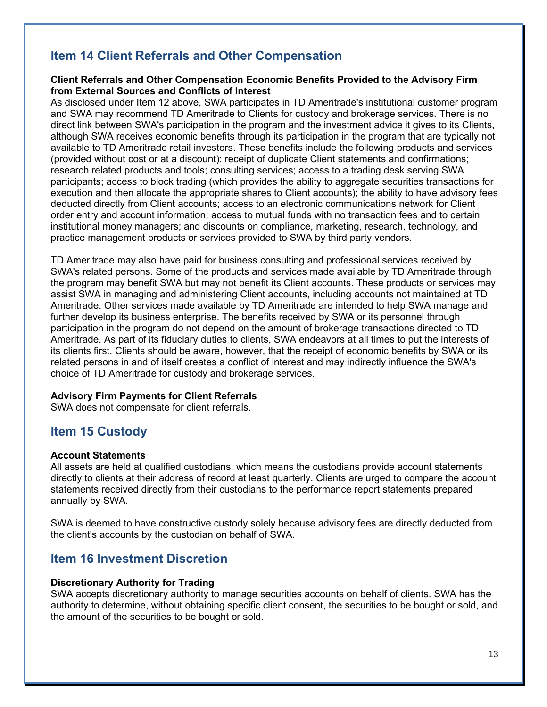## **Item 14 Client Referrals and Other Compensation**

### **Client Referrals and Other Compensation Economic Benefits Provided to the Advisory Firm from External Sources and Conflicts of Interest**

As disclosed under Item 12 above, SWA participates in TD Ameritrade's institutional customer program and SWA may recommend TD Ameritrade to Clients for custody and brokerage services. There is no direct link between SWA's participation in the program and the investment advice it gives to its Clients, although SWA receives economic benefits through its participation in the program that are typically not available to TD Ameritrade retail investors. These benefits include the following products and services (provided without cost or at a discount): receipt of duplicate Client statements and confirmations; research related products and tools; consulting services; access to a trading desk serving SWA participants; access to block trading (which provides the ability to aggregate securities transactions for execution and then allocate the appropriate shares to Client accounts); the ability to have advisory fees deducted directly from Client accounts; access to an electronic communications network for Client order entry and account information; access to mutual funds with no transaction fees and to certain institutional money managers; and discounts on compliance, marketing, research, technology, and practice management products or services provided to SWA by third party vendors.

TD Ameritrade may also have paid for business consulting and professional services received by SWA's related persons. Some of the products and services made available by TD Ameritrade through the program may benefit SWA but may not benefit its Client accounts. These products or services may assist SWA in managing and administering Client accounts, including accounts not maintained at TD Ameritrade. Other services made available by TD Ameritrade are intended to help SWA manage and further develop its business enterprise. The benefits received by SWA or its personnel through participation in the program do not depend on the amount of brokerage transactions directed to TD Ameritrade. As part of its fiduciary duties to clients, SWA endeavors at all times to put the interests of its clients first. Clients should be aware, however, that the receipt of economic benefits by SWA or its related persons in and of itself creates a conflict of interest and may indirectly influence the SWA's choice of TD Ameritrade for custody and brokerage services.

### **Advisory Firm Payments for Client Referrals**

SWA does not compensate for client referrals.

## **Item 15 Custody**

### **Account Statements**

All assets are held at qualified custodians, which means the custodians provide account statements directly to clients at their address of record at least quarterly. Clients are urged to compare the account statements received directly from their custodians to the performance report statements prepared annually by SWA.

SWA is deemed to have constructive custody solely because advisory fees are directly deducted from the client's accounts by the custodian on behalf of SWA.

## **Item 16 Investment Discretion**

### **Discretionary Authority for Trading**

SWA accepts discretionary authority to manage securities accounts on behalf of clients. SWA has the authority to determine, without obtaining specific client consent, the securities to be bought or sold, and the amount of the securities to be bought or sold.